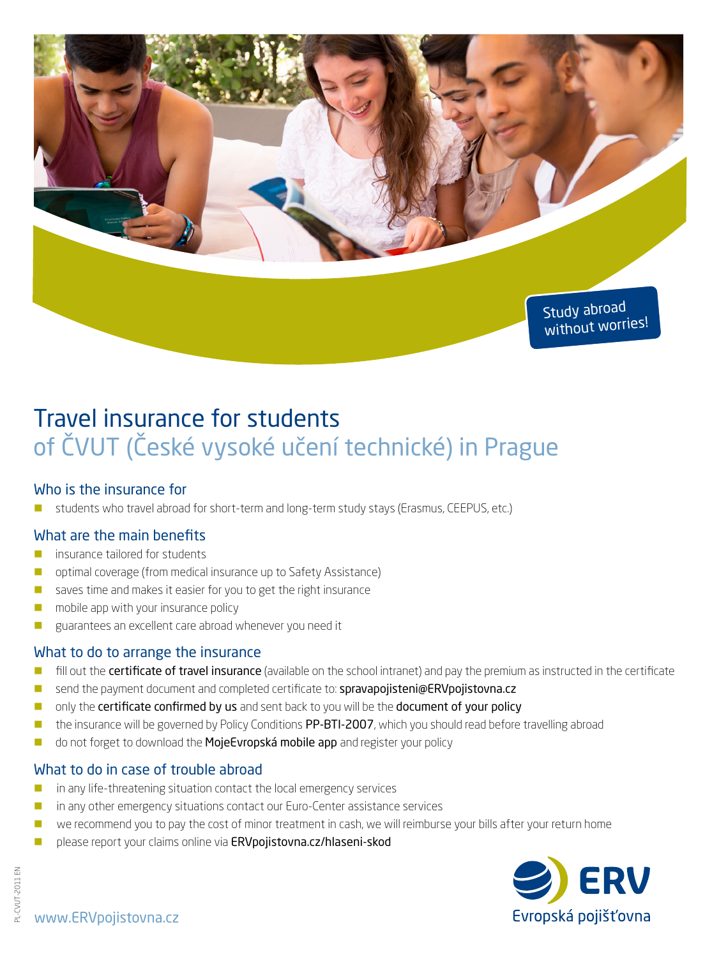

# Travel insurance for students of ČVUT (České vysoké učení technické) in Prague

## Who is the insurance for

students who travel abroad for short-term and long-term study stays (Erasmus, CEEPUS, etc.)

## What are the main benefits

- **insurance tailored for students**
- **D** optimal coverage (from medical insurance up to Safety Assistance)
- saves time and makes it easier for you to get the right insurance
- $\Box$  mobile app with your insurance policy
- **E** guarantees an excellent care abroad whenever you need it

## What to do to arrange the insurance

- **In** fill out the **certificate of travel insurance** (available on the school intranet) and pay the premium as instructed in the certificate
- send the payment document and completed certificate to: spravapojisteni@ERVpojistovna.cz
- **D** only the certificate confirmed by us and sent back to you will be the document of your policy
- **n** the insurance will be governed by Policy Conditions PP-BTI-2007, which you should read before travelling abroad
- do not forget to download the MojeEvropská mobile app and register your policy

## What to do in case of trouble abroad

- in any life-threatening situation contact the local emergency services
- **n** in any other emergency situations contact our Euro-Center assistance services
- we recommend you to pay the cost of minor treatment in cash, we will reimburse your bills after your return home
- please report your claims online via ERVpojistovna.cz/hlaseni-skod